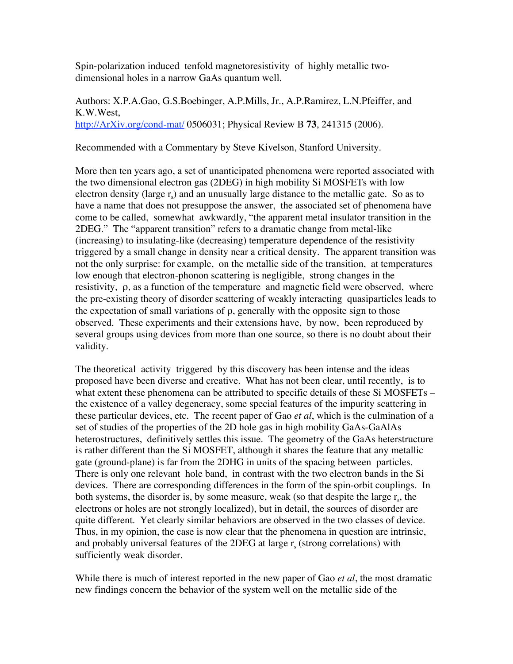Spin-polarization induced tenfold magnetoresistivity of highly metallic twodimensional holes in a narrow GaAs quantum well.

Authors: X.P.A.Gao, G.S.Boebinger, A.P.Mills, Jr., A.P.Ramirez, L.N.Pfeiffer, and K.W.West, http://ArXiv.org/cond-mat/ 0506031; Physical Review B **73**, 241315 (2006).

Recommended with a Commentary by Steve Kivelson, Stanford University.

More then ten years ago, a set of unanticipated phenomena were reported associated with the two dimensional electron gas (2DEG) in high mobility Si MOSFETs with low electron density (large  $r_s$ ) and an unusually large distance to the metallic gate. So as to have a name that does not presuppose the answer, the associated set of phenomena have come to be called, somewhat awkwardly, "the apparent metal insulator transition in the 2DEG." The "apparent transition" refers to a dramatic change from metal-like (increasing) to insulating-like (decreasing) temperature dependence of the resistivity triggered by a small change in density near a critical density. The apparent transition was not the only surprise: for example, on the metallic side of the transition, at temperatures low enough that electron-phonon scattering is negligible, strong changes in the resistivity, ρ, as a function of the temperature and magnetic field were observed, where the pre-existing theory of disorder scattering of weakly interacting quasiparticles leads to the expectation of small variations of  $\rho$ , generally with the opposite sign to those observed. These experiments and their extensions have, by now, been reproduced by several groups using devices from more than one source, so there is no doubt about their validity.

The theoretical activity triggered by this discovery has been intense and the ideas proposed have been diverse and creative. What has not been clear, until recently, is to what extent these phenomena can be attributed to specific details of these Si MOSFETs – the existence of a valley degeneracy, some special features of the impurity scattering in these particular devices, etc. The recent paper of Gao *et al*, which is the culmination of a set of studies of the properties of the 2D hole gas in high mobility GaAs-GaAlAs heterostructures, definitively settles this issue. The geometry of the GaAs heterstructure is rather different than the Si MOSFET, although it shares the feature that any metallic gate (ground-plane) is far from the 2DHG in units of the spacing between particles. There is only one relevant hole band, in contrast with the two electron bands in the Si devices. There are corresponding differences in the form of the spin-orbit couplings. In both systems, the disorder is, by some measure, weak (so that despite the large  $r<sub>s</sub>$ , the electrons or holes are not strongly localized), but in detail, the sources of disorder are quite different. Yet clearly similar behaviors are observed in the two classes of device. Thus, in my opinion, the case is now clear that the phenomena in question are intrinsic, and probably universal features of the 2DEG at large  $r_s$  (strong correlations) with sufficiently weak disorder.

While there is much of interest reported in the new paper of Gao *et al*, the most dramatic new findings concern the behavior of the system well on the metallic side of the